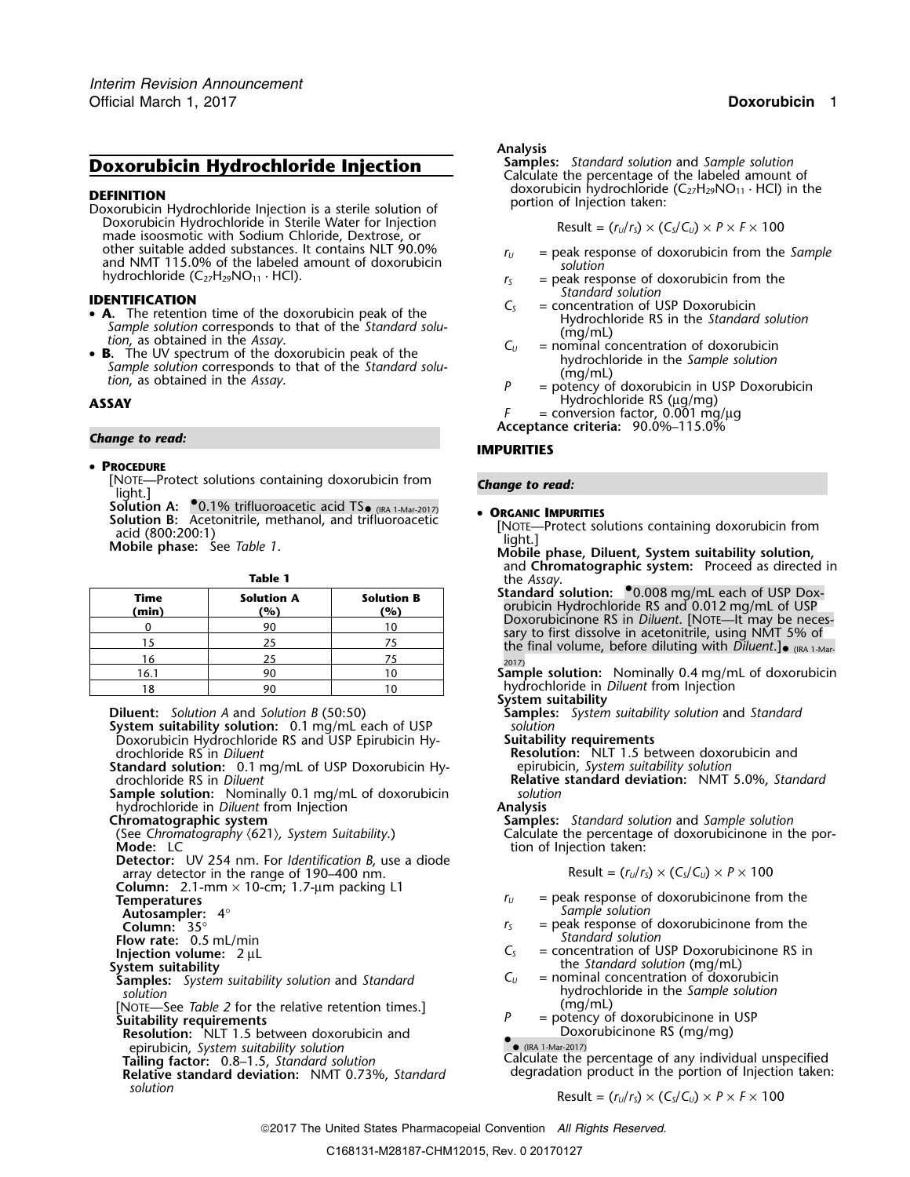## **Doxorubicin Hydrochloride Injection**

**DEFINITION**<br>Doxorubicin Hydrochloride Injection is a sterile solution of **Injection of Injection taken:**<br>Doxorubicin Hydrochloride in Sterile Water for Injection **Integration Besult = (EdG)** × (C Doxorubicin Hydrochloride in Sterile Water for Injection Result = (*<sup>r</sup>U*/*<sup>r</sup>S*) × (*CS*/*CU*) <sup>×</sup> *<sup>P</sup>* <sup>×</sup> *<sup>F</sup>* <sup>×</sup><sup>100</sup> made isoosmotic with Sodium Chloride, Dextrose, or other suitable added substances. It contains NLT 90.0%  $r_U =$  peak response of doxorubicin from the *Sample*<br>and NMT 115.0% of the labeled amount of doxorubicin *solution*<br>hydrochloride (C<sub>27</sub>H<sub>29</sub>NO<sub>11</sub> · HCl).<br> $r_S =$  peak

- Sample solution corresponds to that of the Standard solution, as obtained in the Assay.<br> **E.** The UV spectrum of the doxorubicin peak of the<br> **E.** The UV spectrum of the doxorubicin peak of the<br>
Sample solution<br>  $\begin{array}{c}\n$
- Sample solution corresponds to that of the Standard solu-<br>tion, as obtained in the Assay.<br> $P =$  potency of doxorubicin in USP Doxorubicin

# *Change to read:* **IMPURITIES**

### •**PROCEDURE**

[NOTE—Protect solutions containing doxorubicin from *Change to read:* light.]

**Solution A:** •.0.1% trifluoroacetic acid TS• (IRA 1-Mar-2017) •Solution A: 0.1% diffusionatelly acid (800:200:1)<br>
Solution B: Acetonitrile, methanol, and trifluoroacetic [NOTE—Protect solutions containing doxorubicin from<br>
Mobile phase: See Table 1.<br>
Mobile phase, Diluent, System suit

| ۰.<br>M<br>٠ |
|--------------|
|--------------|

| Stan<br>oru | <b>Solution B</b><br>(%) | <b>Solution A</b><br>(%) | <b>Time</b><br>(min) |
|-------------|--------------------------|--------------------------|----------------------|
| Do:         |                          | 90                       |                      |
| sary<br>the |                          |                          |                      |
| 2017)       |                          |                          | 16                   |
| Sam         | 10                       | 90                       | 16.1                 |
| hvc         | 1٨                       | o۵                       | 1 Ջ                  |

**System suitability solution:** 0.1 mg/mL each of USP *solution*<br>Doxorubicin Hydrochloride RS and USP Epirubicin Hy-**Suitability requirements** Doxorubicin Hydrochloride RS and USP Epirubicin Hydrochloride RS in *Diluent* 

**Standard solution:** 0.1 mg/mL of USP Doxorubicin Hy-<br>drochloride RS in *Diluent* end and a relative standard deviation: NMT

**Sample solution:** Nominally 0.1 mg/mL of doxorubicin *solution*<br>hydrochloride in *Diluent* from Injection **Solution Analysis** hydrochloride in *Diluent* from Injection **Analysis**

**Detector:** UV 254 nm. For *Identification B*, use a diode array detector in the range of 190–400 nm.

**Column:** 2.1-mm × 10-cm; 1.7-µm packing L1

**Autosampler:** 4° *Sampley*: 4° *Sampley*: 4° *Sampley*: 55° *Sampley*: 55° *Sampley*: 55° *Sampley*: 55° *Sampley*: 55° Sampley: 55° Sampley: 55° Sampley: 55° Sampley: 55° Sampley: 55° Sampley: 55° Sampley: 55° Sampley: 5

**Flow rate:** 0.5 mL/min **Standard Solution** *Standard Solution Standard Solution Standard Solution Standard Solution Standard Solution* 

**Samples:** *System suitability solution* and *Standard Solution* 

[NOTE—See *Table 2* for the relative retention times.]<br>**Suitability requirements** 

**Resolution:** NLT 1.5 between doxorubicin and

**Relative standard deviation:** NMT 0.73%, *Standard* 

Analysis<br>Samples: Standard solution and Sample solution Calculate the percentage of the labeled amount of doxorubicin hydrochloride  $(C_{27}H_{29}NO_{11} \cdot HCl)$  in the

$$
Result = (r_U/r_S) \times (C_S/C_U) \times P \times F \times 100
$$

- 
- $r<sub>S</sub>$  = peak response of doxorubicin from the *Standard solution*
- **IDENTIFICATION**<br>
 **A**. The retention time of the doxorubicin peak of the<br>
Sample solution corresponds to that of the Standard solution<br>
Sample solution corresponds to that of the Standard solution
	-
- **ASSAY** Hydrochloride RS (µg/mg)

*F* = conversion factor, 0.001 mg/µg

**Acceptance criteria:** 90.0%–115.0%

- and **Chromatographic system:** Proceed as directed in
- the *Assay*.<br>**Standard solution:** <sup>0</sup>0.008 mg/mL each of USP Doxorubicin Hydrochloride RS and 0.012 mg/mL of USP<br>Doxorubicinone RS in *Diluent*. [NOTE—It may be necessary to first dissolve in acetonitrile, using NMT 5% of the final volume, before diluting with Diluent.]  $_{\bullet}$  (IRA 1-Mar-

**Sample solution:** Nominally 0.4 mg/mL of doxorubicin hydrochloride in *Diluent* from Injection

### **System suitability**

**Diluent:** *Solution A* and *Solution B* (50:50) **Samples:** *System suitability solution* and *Standard*

**Resolution:** NLT 1.5 between doxorubicin and

Relative standard deviation: NMT 5.0%, *Standard* 

**Chromatographic system Samples:** *Standard solution* and *Sample solution* (See *Chromatography* 〈621〉*, System Suitability*.) Calculate the percentage of doxorubicinone in the portion of Injection taken:

$$
Result = (r_U/r_S) \times (C_S/C_U) \times P \times 100
$$

- $r_U$  = peak response of doxorubicinone from the *Sample solution*
- = peak response of doxorubicinone from the<br>Standard solution
- **Injection volume:**  $2 \mu L$ <br> **Injection volume:**  $2 \mu L$ <br> **Injection volume:**  $2 \mu L$ <br> **Injection volume:**  $2 \mu L$ <br> **Injection volume:**  $2 \mu L$ the *Standard solution* (mg/mL)<br> $C_{U}$  = nominal concentration of doxorubicin
	- *solution* hydrochloride in the *Sample solution*
	- = potency of doxorubicinone in USP<br>Doxorubicinone RS (mg/mg)

• (IRA 1-Mar-2017)

epirubicin, *System suitability solution*<br>
Failing factor: 0.8–1.5. Standard solution Calculate the percentage of any individual unspecified **Tailing factor:** 0.8–1.5, *Standard solution* Calculate the percentage of any individual unspecified Calculate the percentage of any individual unspecified Relative standard deviation: NMT 0.73% Standard degradation produ

Solution

\n
$$
\text{Result} = (r_U/r_S) \times (C_S/C_U) \times P \times F \times 100
$$